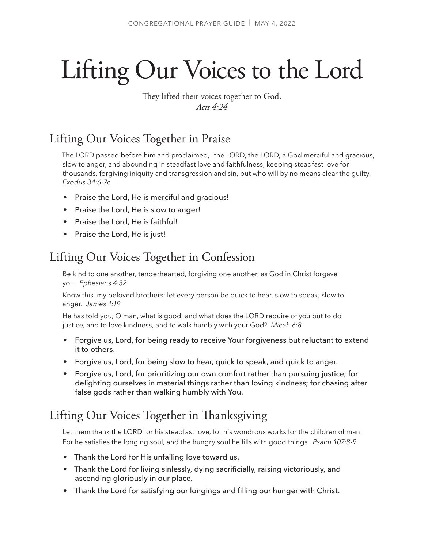# Lifting Our Voices to the Lord

They lifted their voices together to God. *Acts 4:24*

### Lifting Our Voices Together in Praise

The LORD passed before him and proclaimed, "the LORD, the LORD, a God merciful and gracious, slow to anger, and abounding in steadfast love and faithfulness, keeping steadfast love for thousands, forgiving iniquity and transgression and sin, but who will by no means clear the guilty. *Exodus 34:6-7c*

- Praise the Lord, He is merciful and gracious!
- Praise the Lord, He is slow to anger!
- Praise the Lord, He is faithful!
- Praise the Lord, He is just!

#### Lifting Our Voices Together in Confession

Be kind to one another, tenderhearted, forgiving one another, as God in Christ forgave you. *Ephesians 4:32*

Know this, my beloved brothers: let every person be quick to hear, slow to speak, slow to anger. *James 1:19*

He has told you, O man, what is good; and what does the LORD require of you but to do justice, and to love kindness, and to walk humbly with your God? *Micah 6:8*

- Forgive us, Lord, for being ready to receive Your forgiveness but reluctant to extend it to others.
- Forgive us, Lord, for being slow to hear, quick to speak, and quick to anger.
- Forgive us, Lord, for prioritizing our own comfort rather than pursuing justice; for delighting ourselves in material things rather than loving kindness; for chasing after false gods rather than walking humbly with You.

## Lifting Our Voices Together in Thanksgiving

Let them thank the LORD for his steadfast love, for his wondrous works for the children of man! For he satisfies the longing soul, and the hungry soul he fills with good things. *Psalm 107:8-9*

- Thank the Lord for His unfailing love toward us.
- Thank the Lord for living sinlessly, dying sacrificially, raising victoriously, and ascending gloriously in our place.
- Thank the Lord for satisfying our longings and filling our hunger with Christ.